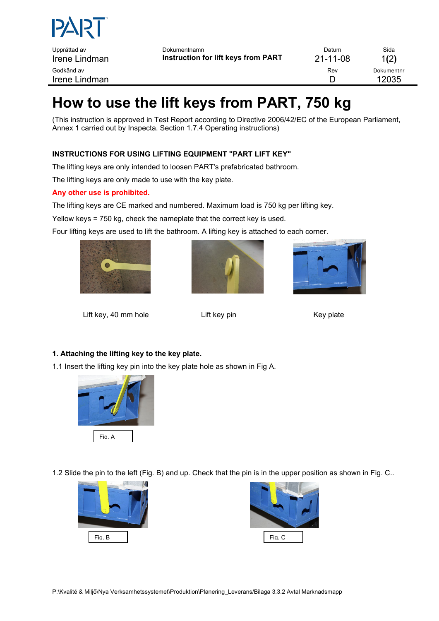

# **How to use the lift keys from PART, 750 kg**

(This instruction is approved in Test Report according to Directive 2006/42/EC of the European Parliament, Annex 1 carried out by Inspecta. Section 1.7.4 Operating instructions)

## **INSTRUCTIONS FOR USING LIFTING EQUIPMENT "PART LIFT KEY"**

The lifting keys are only intended to loosen PART's prefabricated bathroom.

The lifting keys are only made to use with the key plate.

### **Any other use is prohibited.**

The lifting keys are CE marked and numbered. Maximum load is 750 kg per lifting key.

Yellow keys = 750 kg, check the nameplate that the correct key is used.

Four lifting keys are used to lift the bathroom. A lifting key is attached to each corner.







Lift key, 40 mm hole **Lift key pin** Lift key pin Key plate

### **1. Attaching the lifting key to the key plate.**

1.1 Insert the lifting key pin into the key plate hole as shown in Fig A.



1.2 Slide the pin to the left (Fig. B) and up. Check that the pin is in the upper position as shown in Fig. C..